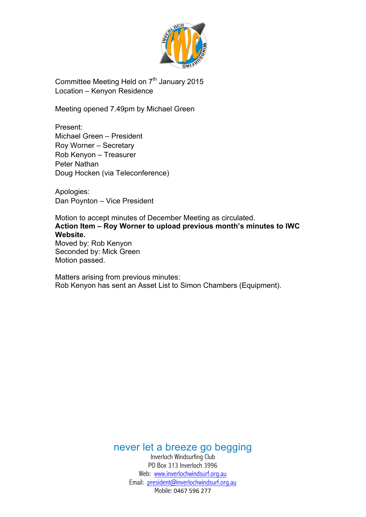

Committee Meeting Held on  $7<sup>th</sup>$  January 2015 Location – Kenyon Residence

Meeting opened 7.49pm by Michael Green

Present: Michael Green – President Roy Worner – Secretary Rob Kenyon – Treasurer Peter Nathan Doug Hocken (via Teleconference)

Apologies: Dan Poynton – Vice President

Motion to accept minutes of December Meeting as circulated. **Action Item – Roy Worner to upload previous month's minutes to IWC Website.** Moved by: Rob Kenyon Seconded by: Mick Green Motion passed.

Matters arising from previous minutes: Rob Kenyon has sent an Asset List to Simon Chambers (Equipment).

never let a breeze go begging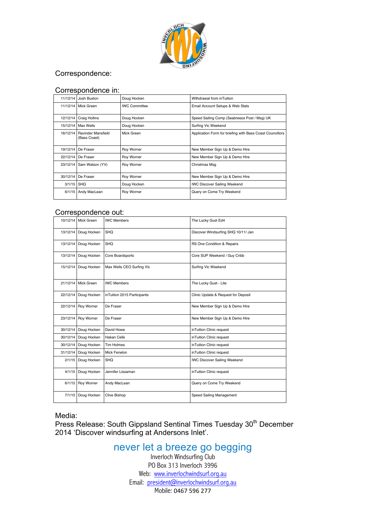

## Correspondence:

#### Correspondence in:

| 11/12/14 | Josh Buxton                        | Doug Hocken          | Withdrawal from inTuition                                 |  |
|----------|------------------------------------|----------------------|-----------------------------------------------------------|--|
|          | 11/12/14 Mick Green                | <b>IWC Committee</b> | Email Account Setups & Web Stats                          |  |
| 12/12/14 | Craig Hollins                      | Doug Hocken          | Speed Sailing Comp (Seabreeze Post / Msg) UK              |  |
| 15/12/14 | Max Wells                          | Doug Hocken          | Surfing Vic Weekend                                       |  |
| 16/12/14 | Ravinder Mansfield<br>(Bass Coast) | Mick Green           | Application Form for briefing with Bass Coast Councillors |  |
| 19/12/14 | De Fraser                          | <b>Roy Worner</b>    | New Member Sign Up & Demo Hire                            |  |
| 22/12/14 | De Fraser                          | Roy Worner           | New Member Sign Up & Demo Hire                            |  |
| 23/12/14 | Sam Watson (YV)                    | Roy Worner           | Christmas Msq                                             |  |
| 30/12/14 | De Fraser                          | Roy Worner           | New Member Sign Up & Demo Hire                            |  |
| 3/1/15   | SHQ                                | Doug Hocken          | <b>IWC Discover Sailing Weekend</b>                       |  |
| 6/1/15   | Andy MacLean                       | <b>Roy Worner</b>    | Query on Come Try Weekend                                 |  |

### Correspondence out:

| Mick Green<br>10/12/14             | <b>IWC Members</b>          | The Lucky Gust Ed4                  |  |
|------------------------------------|-----------------------------|-------------------------------------|--|
| Doug Hocken                        | SHQ                         | Discover Windsurfing SHQ 10/11/ Jan |  |
| Doug Hocken<br>13/12/14            | SHQ                         | RS One Condition & Repairs          |  |
| Doug Hocken<br>13/12/14            | Core Boardsports            | Core SUP Weekend / Guy Cribb        |  |
| Doug Hocken                        | Max Wells CEO Surfing Vic   | Surfing Vic Weekend                 |  |
| Mick Green<br>21/12/14             | <b>IWC Members</b>          | The Lucky Gust - Lite               |  |
| Doug Hocken<br>22/12/14            | inTuition 2015 Participants | Clinic Update & Request for Deposit |  |
| Roy Worner<br>22/12/14             | De Fraser                   | New Member Sign Up & Demo Hire      |  |
| Roy Worner<br>23/12/14             | De Fraser                   | New Member Sign Up & Demo Hire      |  |
| Doug Hocken<br>30/12/14            | David Howe                  | inTuition Clinic request            |  |
| Doug Hocken<br>30/12/14            | <b>Hakan Celik</b>          | inTuition Clinic request            |  |
| Doug Hocken<br>30/12/14            | <b>Tim Holmes</b>           | inTuition Clinic request            |  |
| Doug Hocken<br>31/12/14            | Mick Fenelon                | inTuition Clinic request            |  |
| Doug Hocken<br>2/1/15              | SHQ                         | <b>IWC Discover Sailing Weekend</b> |  |
| 4/1/15<br>Doug Hocken              | Jennifer Lissaman           | inTuition Clinic request            |  |
| Roy Worner<br>6/1/15               | Andy MacLean                | Query on Come Try Weekend           |  |
| Doug Hocken<br><b>Clive Bishop</b> |                             | Speed Sailing Management            |  |
|                                    |                             |                                     |  |

Media:

modia.<br>Press Release: South Gippsland Sentinal Times Tuesday 30<sup>th</sup> December 2014 'Discover windsurfing at Andersons Inlet'.

# never let a breeze go begging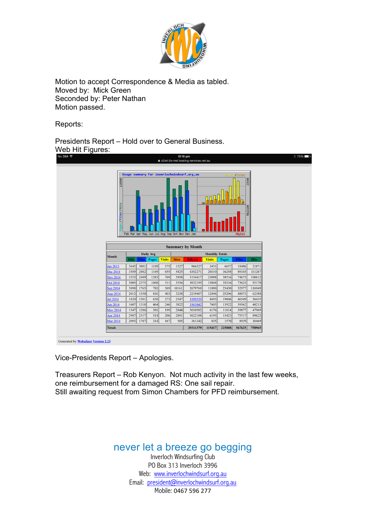

Motion to accept Correspondence & Media as tabled. Moved by: Mick Green Seconded by: Peter Nathan Motion passed.

Reports:

Presidents Report – Hold over to General Business. Web Hit Figures:



Vice-Presidents Report – Apologies.

Treasurers Report – Rob Kenyon. Not much activity in the last few weeks, one reimbursement for a damaged RS: One sail repair. Still awaiting request from Simon Chambers for PFD reimbursement.

# never let a breeze go begging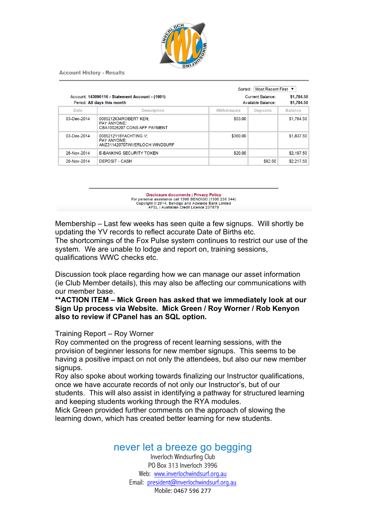

**Account History - Results** 

|                   |                                                                                |             | Most Recent First ▼<br>Sorted:                |                |  |
|-------------------|--------------------------------------------------------------------------------|-------------|-----------------------------------------------|----------------|--|
|                   | Account: 143090116 - Statement Account - (1601)<br>Period: All days this month |             | <b>Current Balance:</b><br>Available Balance: |                |  |
| Date              | <b>Description</b>                                                             | Withdrawals | <b>Deposits</b>                               | <b>Balance</b> |  |
| $03 - Dec - 2014$ | 0085212634ROBERT KEN:<br><b>PAY ANYONE:</b><br>CBA10026207 CONS AFF PAYMENT    | \$53.00     |                                               | \$1,784.50     |  |
| 03-Dec-2014       | 0085212118YACHTING V:<br><b>PAY ANYONE:</b><br>ANZ311420707INVERLOCH WINDSURF  | \$360.00    |                                               | \$1,837.50     |  |
| 26-Nov-2014       | <b>E-BANKING SECURITY TOKEN</b>                                                | \$20.00     |                                               | \$2,197.50     |  |
| 26-Nov-2014       | <b>DEPOSIT - CASH</b>                                                          |             | \$82.50                                       | \$2,217.50     |  |

Disclosure documents | Privacy Policy<br>For personal assistance call 1300 BENDIGO (1300 236 344)<br>Copyright © 2014, Bendigo and Adelaide Bank Limited<br>AFSL / Australian Credit Licence 237879

Membership – Last few weeks has seen quite a few signups. Will shortly be updating the YV records to reflect accurate Date of Births etc.

The shortcomings of the Fox Pulse system continues to restrict our use of the system. We are unable to lodge and report on, training sessions, qualifications WWC checks etc.

Discussion took place regarding how we can manage our asset information (ie Club Member details), this may also be affecting our communications with our member base.

### **\*\*ACTION ITEM – Mick Green has asked that we immediately look at our Sign Up process via Website. Mick Green / Roy Worner / Rob Kenyon also to review if CPanel has an SQL option.**

### Training Report – Roy Worner

Roy commented on the progress of recent learning sessions, with the provision of beginner lessons for new member signups. This seems to be having a positive impact on not only the attendees, but also our new member signups.

Roy also spoke about working towards finalizing our Instructor qualifications, once we have accurate records of not only our Instructor's, but of our students. This will also assist in identifying a pathway for structured learning and keeping students working through the RYA modules.

Mick Green provided further comments on the approach of slowing the learning down, which has created better learning for new students.

## never let a breeze go begging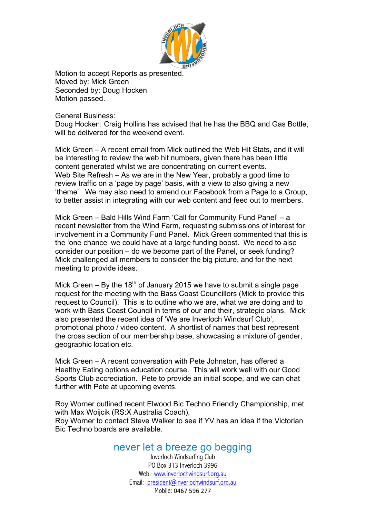

Motion to accept Reports as presented. Moved by: Mick Green Seconded by: Doug Hocken Motion passed.

General Business:

Doug Hocken: Craig Hollins has advised that he has the BBQ and Gas Bottle, will be delivered for the weekend event.

Mick Green – A recent email from Mick outlined the Web Hit Stats, and it will be interesting to review the web hit numbers, given there has been little content generated whilst we are concentrating on current events. Web Site Refresh – As we are in the New Year, probably a good time to review traffic on a 'page by page' basis, with a view to also giving a new 'theme'. We may also need to amend our Facebook from a Page to a Group, to better assist in integrating with our web content and feed out to members.

Mick Green – Bald Hills Wind Farm 'Call for Community Fund Panel' – a recent newsletter from the Wind Farm, requesting submissions of interest for involvement in a Community Fund Panel. Mick Green commented that this is the 'one chance' we could have at a large funding boost. We need to also consider our position – do we become part of the Panel, or seek funding? Mick challenged all members to consider the big picture, and for the next meeting to provide ideas.

Mick Green – By the 18<sup>th</sup> of January 2015 we have to submit a single page request for the meeting with the Bass Coast Councillors (Mick to provide this request to Council). This is to outline who we are, what we are doing and to work with Bass Coast Council in terms of our and their, strategic plans. Mick also presented the recent idea of 'We are Inverloch Windsurf Club', promotional photo / video content. A shortlist of names that best represent the cross section of our membership base, showcasing a mixture of gender, geographic location etc.

Mick Green – A recent conversation with Pete Johnston, has offered a Healthy Eating options education course. This will work well with our Good Sports Club accrediation. Pete to provide an initial scope, and we can chat further with Pete at upcoming events.

Roy Worner outlined recent Elwood Bic Techno Friendly Championship, met with Max Woijcik (RS:X Australia Coach),

Roy Worner to contact Steve Walker to see if YV has an idea if the Victorian Bic Techno boards are available.

# never let a breeze go begging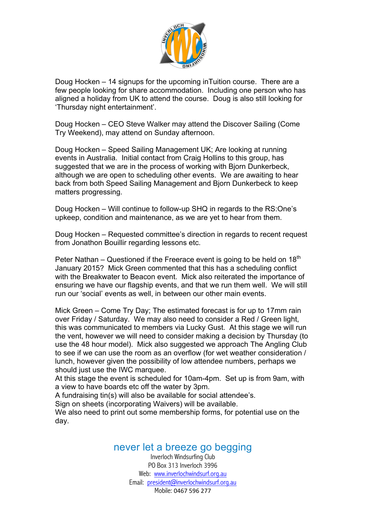

Doug Hocken – 14 signups for the upcoming inTuition course. There are a few people looking for share accommodation. Including one person who has aligned a holiday from UK to attend the course. Doug is also still looking for 'Thursday night entertainment'.

Doug Hocken – CEO Steve Walker may attend the Discover Sailing (Come Try Weekend), may attend on Sunday afternoon.

Doug Hocken – Speed Sailing Management UK; Are looking at running events in Australia. Initial contact from Craig Hollins to this group, has suggested that we are in the process of working with Biorn Dunkerbeck, although we are open to scheduling other events. We are awaiting to hear back from both Speed Sailing Management and Bjorn Dunkerbeck to keep matters progressing.

Doug Hocken – Will continue to follow-up SHQ in regards to the RS:One's upkeep, condition and maintenance, as we are yet to hear from them.

Doug Hocken – Requested committee's direction in regards to recent request from Jonathon Bouillir regarding lessons etc.

Peter Nathan – Questioned if the Freerace event is going to be held on  $18<sup>th</sup>$ January 2015? Mick Green commented that this has a scheduling conflict with the Breakwater to Beacon event. Mick also reiterated the importance of ensuring we have our flagship events, and that we run them well. We will still run our 'social' events as well, in between our other main events.

Mick Green – Come Try Day; The estimated forecast is for up to 17mm rain over Friday / Saturday. We may also need to consider a Red / Green light, this was communicated to members via Lucky Gust. At this stage we will run the vent, however we will need to consider making a decision by Thursday (to use the 48 hour model). Mick also suggested we approach The Angling Club to see if we can use the room as an overflow (for wet weather consideration / lunch, however given the possibility of low attendee numbers, perhaps we should just use the IWC marquee.

At this stage the event is scheduled for 10am-4pm. Set up is from 9am, with a view to have boards etc off the water by 3pm.

A fundraising tin(s) will also be available for social attendee's.

Sign on sheets (incorporating Waivers) will be available.

We also need to print out some membership forms, for potential use on the day.

## never let a breeze go begging